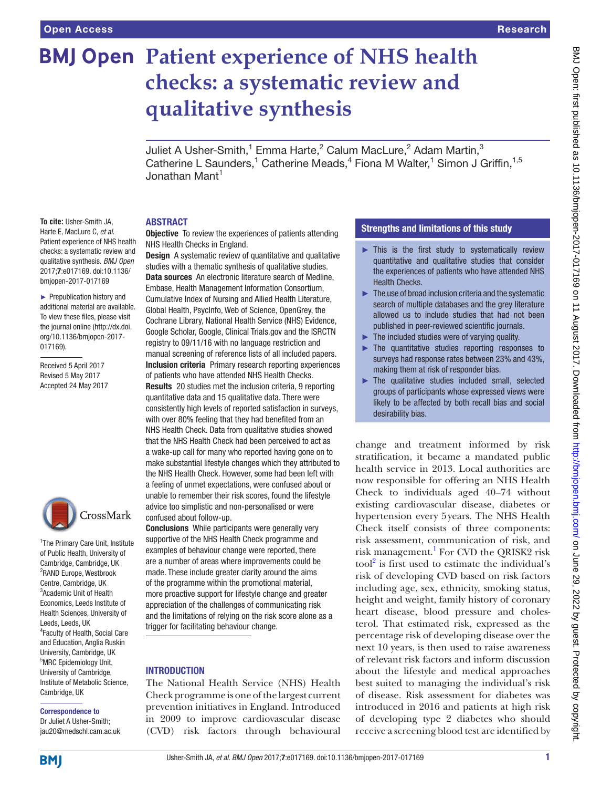**To cite:** Usher-Smith JA, Harte E, MacLure C, *et al*. Patient experience of NHS health checks: a systematic review and qualitative synthesis. *BMJ Open* 2017;7:e017169. doi:10.1136/ bmjopen-2017-017169 ► Prepublication history and additional material are available. To view these files, please visit the journal online [\(http://dx.doi.](http://dx.doi.org/10.1136/bmjopen-2017-017169) [org/10.1136/bmjopen-2017-](http://dx.doi.org/10.1136/bmjopen-2017-017169)

[017169\)](http://dx.doi.org/10.1136/bmjopen-2017-017169).

Received 5 April 2017 Revised 5 May 2017 Accepted 24 May 2017

# **BMJ Open Patient experience of NHS health checks: a systematic review and qualitative synthesis**

Juliet A Usher-Smith, $^1$  Emma Harte, $^2$  Calum MacLure, $^2$  Adam Martin, $^3$ Catherine L Saunders,<sup>1</sup> Catherine Meads,<sup>4</sup> Fiona M Walter,<sup>1</sup> Simon J Griffin,<sup>1,5</sup> Jonathan Mant1

#### **ABSTRACT**

**Objective** To review the experiences of patients attending NHS Health Checks in England.

Design A systematic review of quantitative and qualitative studies with a thematic synthesis of qualitative studies. Data sources An electronic literature search of Medline, Embase, Health Management Information Consortium, Cumulative Index of Nursing and Allied Health Literature, Global Health, PsycInfo, Web of Science, OpenGrey, the Cochrane Library, National Health Service (NHS) Evidence, Google Scholar, Google, Clinical Trials.gov and the ISRCTN registry to 09/11/16 with no language restriction and manual screening of reference lists of all included papers. Inclusion criteria Primary research reporting experiences of patients who have attended NHS Health Checks. Results 20 studies met the inclusion criteria, 9 reporting quantitative data and 15 qualitative data. There were consistently high levels of reported satisfaction in surveys, with over 80% feeling that they had benefited from an NHS Health Check. Data from qualitative studies showed that the NHS Health Check had been perceived to act as a wake-up call for many who reported having gone on to make substantial lifestyle changes which they attributed to the NHS Health Check. However, some had been left with a feeling of unmet expectations, were confused about or unable to remember their risk scores, found the lifestyle advice too simplistic and non-personalised or were confused about follow-up.

Conclusions While participants were generally very supportive of the NHS Health Check programme and examples of behaviour change were reported, there are a number of areas where improvements could be made. These include greater clarity around the aims of the programme within the promotional material, more proactive support for lifestyle change and greater appreciation of the challenges of communicating risk and the limitations of relying on the risk score alone as a trigger for facilitating behaviour change.

## **INTRODUCTION**

The National Health Service (NHS) Health Check programme is one of the largest current prevention initiatives in England. Introduced in 2009 to improve cardiovascular disease (CVD) risk factors through behavioural

# Strengths and limitations of this study

- $\blacktriangleright$  This is the first study to systematically review quantitative and qualitative studies that consider the experiences of patients who have attended NHS Health Checks.
- $\blacktriangleright$  The use of broad inclusion criteria and the systematic search of multiple databases and the grey literature allowed us to include studies that had not been published in peer-reviewed scientific journals.
- $\blacktriangleright$  The included studies were of varying quality.
- ► The quantitative studies reporting responses to surveys had response rates between 23% and 43%, making them at risk of responder bias.
- ► The qualitative studies included small, selected groups of participants whose expressed views were likely to be affected by both recall bias and social desirability bias.

change and treatment informed by risk stratification, it became a mandated public health service in 2013. Local authorities are now responsible for offering an NHS Health Check to individuals aged 40–74 without existing cardiovascular disease, diabetes or hypertension every 5years. The NHS Health Check itself consists of three components: risk assessment, communication of risk, and risk management.<sup>[1](#page-10-0)</sup> For CVD the QRISK2 risk tool<sup>[2](#page-10-1)</sup> is first used to estimate the individual's risk of developing CVD based on risk factors including age, sex, ethnicity, smoking status, height and weight, family history of coronary heart disease, blood pressure and cholesterol. That estimated risk, expressed as the percentage risk of developing disease over the next 10 years, is then used to raise awareness of relevant risk factors and inform discussion about the lifestyle and medical approaches best suited to managing the individual's risk of disease. Risk assessment for diabetes was introduced in 2016 and patients at high risk of developing type 2 diabetes who should receive a screening blood test are identified by

#### of Public Health, University of Cambridge, Cambridge, UK <sup>2</sup>RAND Europe, Westbrook

<sup>1</sup>The Primary Care Unit, Institute

CrossMark

Centre, Cambridge, UK <sup>3</sup> Academic Unit of Health Economics, Leeds Institute of Health Sciences, University of Leeds, Leeds, UK 4 Faculty of Health, Social Care and Education, Anglia Ruskin University, Cambridge, UK 5 MRC Epidemiology Unit, University of Cambridge, Institute of Metabolic Science, Cambridge, UK

# Correspondence to

Dr Juliet A Usher-Smith; jau20@medschl.cam.ac.uk

**BMI**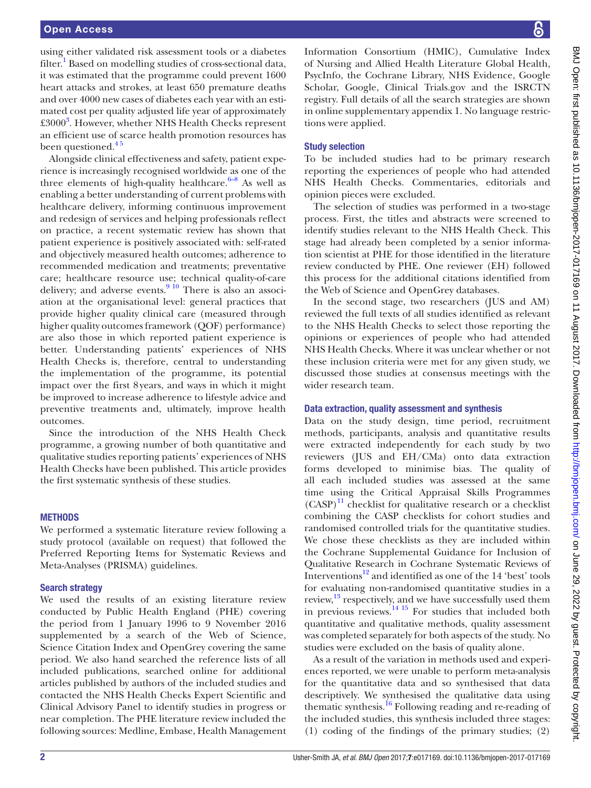using either validated risk assessment tools or a diabetes filter.<sup>1</sup> Based on modelling studies of cross-sectional data, it was estimated that the programme could prevent 1600 heart attacks and strokes, at least 650 premature deaths and over 4000 new cases of diabetes each year with an estimated cost per quality adjusted life year of approximately £[3](#page-10-2)000<sup>3</sup>. However, whether NHS Health Checks represent an efficient use of scarce health promotion resources has been questioned. $45$ 

Alongside clinical effectiveness and safety, patient experience is increasingly recognised worldwide as one of the three elements of high-quality healthcare. $6-8$  As well as enabling a better understanding of current problems with healthcare delivery, informing continuous improvement and redesign of services and helping professionals reflect on practice, a recent systematic review has shown that patient experience is positively associated with: self-rated and objectively measured health outcomes; adherence to recommended medication and treatments; preventative care; healthcare resource use; technical quality-of-care delivery; and adverse events.<sup>9 10</sup> There is also an association at the organisational level: general practices that provide higher quality clinical care (measured through higher quality outcomes framework (QOF) performance) are also those in which reported patient experience is better. Understanding patients' experiences of NHS Health Checks is, therefore, central to understanding the implementation of the programme, its potential impact over the first 8years, and ways in which it might be improved to increase adherence to lifestyle advice and preventive treatments and, ultimately, improve health outcomes.

Since the introduction of the NHS Health Check programme, a growing number of both quantitative and qualitative studies reporting patients' experiences of NHS Health Checks have been published. This article provides the first systematic synthesis of these studies.

#### **METHODS**

We performed a systematic literature review following a study protocol (available on request) that followed the Preferred Reporting Items for Systematic Reviews and Meta-Analyses (PRISMA) guidelines.

# Search strategy

We used the results of an existing literature review conducted by Public Health England (PHE) covering the period from 1 January 1996 to 9 November 2016 supplemented by a search of the Web of Science, Science Citation Index and OpenGrey covering the same period. We also hand searched the reference lists of all included publications, searched online for additional articles published by authors of the included studies and contacted the NHS Health Checks Expert Scientific and Clinical Advisory Panel to identify studies in progress or near completion. The PHE literature review included the following sources: Medline, Embase, Health Management

Information Consortium (HMIC), Cumulative Index of Nursing and Allied Health Literature Global Health, PsycInfo, the Cochrane Library, NHS Evidence, Google Scholar, Google, Clinical Trials.gov and the ISRCTN registry. Full details of all the search strategies are shown in online [supplementary appendix 1](https://dx.doi.org/10.1136/bmjopen-2017-017169). No language restrictions were applied.

#### Study selection

To be included studies had to be primary research reporting the experiences of people who had attended NHS Health Checks. Commentaries, editorials and opinion pieces were excluded.

The selection of studies was performed in a two-stage process. First, the titles and abstracts were screened to identify studies relevant to the NHS Health Check. This stage had already been completed by a senior information scientist at PHE for those identified in the literature review conducted by PHE. One reviewer (EH) followed this process for the additional citations identified from the Web of Science and OpenGrey databases.

In the second stage, two researchers (JUS and AM) reviewed the full texts of all studies identified as relevant to the NHS Health Checks to select those reporting the opinions or experiences of people who had attended NHS Health Checks. Where it was unclear whether or not these inclusion criteria were met for any given study, we discussed those studies at consensus meetings with the wider research team.

#### Data extraction, quality assessment and synthesis

Data on the study design, time period, recruitment methods, participants, analysis and quantitative results were extracted independently for each study by two reviewers (JUS and EH/CMa) onto data extraction forms developed to minimise bias. The quality of all each included studies was assessed at the same time using the Critical Appraisal Skills Programmes  $(CASP)^{11}$  checklist for qualitative research or a checklist combining the CASP checklists for cohort studies and randomised controlled trials for the quantitative studies. We chose these checklists as they are included within the Cochrane Supplemental Guidance for Inclusion of Qualitative Research in Cochrane Systematic Reviews of Interventions $^{12}$  and identified as one of the 14 'best' tools for evaluating non-randomised quantitative studies in a review,<sup>13</sup> respectively, and we have successfully used them in previous reviews.<sup>14 15</sup> For studies that included both quantitative and qualitative methods, quality assessment was completed separately for both aspects of the study. No studies were excluded on the basis of quality alone.

As a result of the variation in methods used and experiences reported, we were unable to perform meta-analysis for the quantitative data and so synthesised that data descriptively. We synthesised the qualitative data using thematic synthesis.<sup>16</sup> Following reading and re-reading of the included studies, this synthesis included three stages: (1) coding of the findings of the primary studies; (2)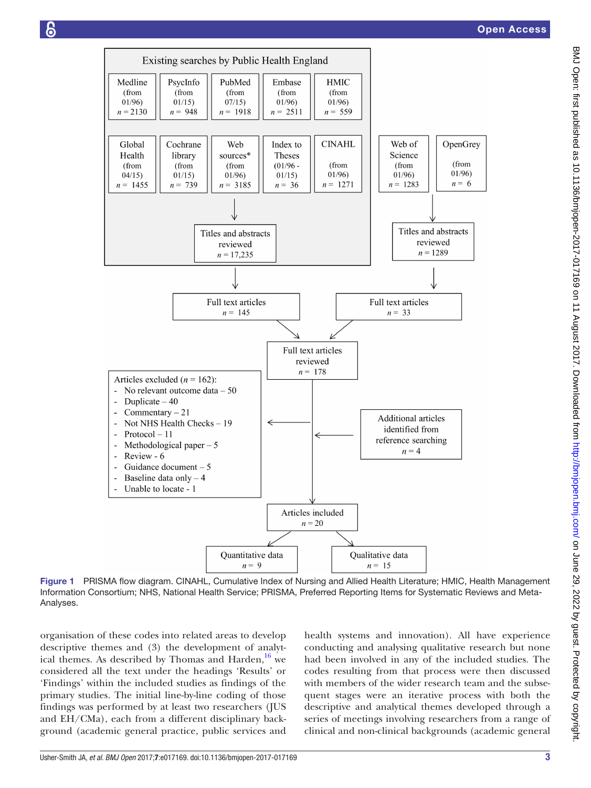

<span id="page-2-0"></span>Figure 1 PRISMA flow diagram. CINAHL, Cumulative Index of Nursing and Allied Health Literature; HMIC, Health Management Information Consortium; NHS, National Health Service; PRISMA, Preferred Reporting Items for Systematic Reviews and Meta-Analyses.

organisation of these codes into related areas to develop descriptive themes and (3) the development of analytical themes. As described by Thomas and Harden,<sup>16</sup> we considered all the text under the headings 'Results' or 'Findings' within the included studies as findings of the primary studies. The initial line-by-line coding of those findings was performed by at least two researchers (JUS and EH/CMa), each from a different disciplinary background (academic general practice, public services and health systems and innovation). All have experience conducting and analysing qualitative research but none had been involved in any of the included studies. The codes resulting from that process were then discussed with members of the wider research team and the subsequent stages were an iterative process with both the descriptive and analytical themes developed through a series of meetings involving researchers from a range of clinical and non-clinical backgrounds (academic general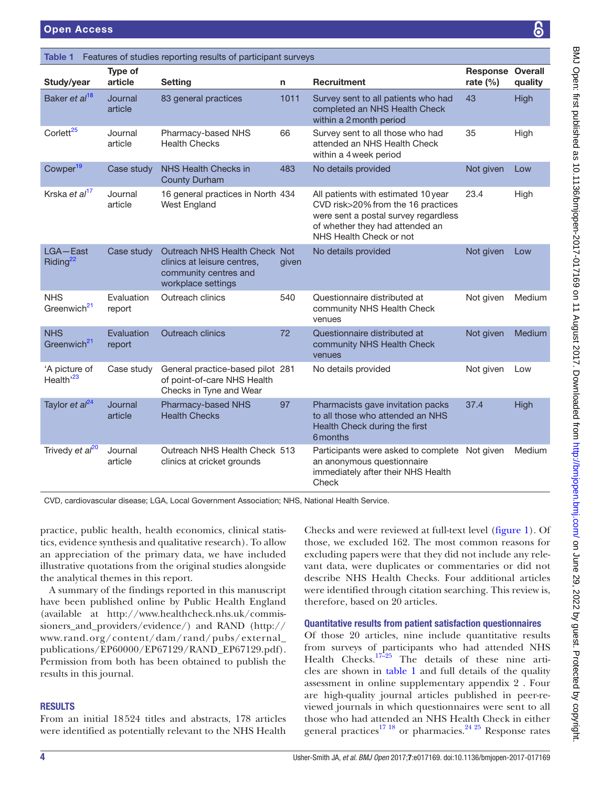<span id="page-3-0"></span>

| Study/year                             | Type of<br>article   | <b>Setting</b>                                                                                              | n     | <b>Recruitment</b>                                                                                                                                                              | <b>Response Overall</b><br>rate (%) | quality       |
|----------------------------------------|----------------------|-------------------------------------------------------------------------------------------------------------|-------|---------------------------------------------------------------------------------------------------------------------------------------------------------------------------------|-------------------------------------|---------------|
| Baker et al <sup>18</sup>              | Journal<br>article   | 83 general practices                                                                                        | 1011  | Survey sent to all patients who had<br>completed an NHS Health Check<br>within a 2 month period                                                                                 | 43                                  | High          |
| Corlett <sup>25</sup>                  | Journal<br>article   | Pharmacy-based NHS<br><b>Health Checks</b>                                                                  | 66    | Survey sent to all those who had<br>attended an NHS Health Check<br>within a 4 week period                                                                                      | 35                                  | High          |
| Cowper <sup>19</sup>                   | Case study           | <b>NHS Health Checks in</b><br><b>County Durham</b>                                                         | 483   | No details provided                                                                                                                                                             | Not given                           | Low           |
| Krska et al <sup>17</sup>              | Journal<br>article   | 16 general practices in North 434<br>West England                                                           |       | All patients with estimated 10 year<br>CVD risk>20% from the 16 practices<br>were sent a postal survey regardless<br>of whether they had attended an<br>NHS Health Check or not | 23.4                                | High          |
| LGA-East<br>Riding <sup>22</sup>       | Case study           | Outreach NHS Health Check Not<br>clinics at leisure centres,<br>community centres and<br>workplace settings | given | No details provided                                                                                                                                                             | Not given                           | Low           |
| <b>NHS</b><br>Greenwich <sup>21</sup>  | Evaluation<br>report | Outreach clinics                                                                                            | 540   | Questionnaire distributed at<br>community NHS Health Check<br>venues                                                                                                            | Not given                           | <b>Medium</b> |
| <b>NHS</b><br>Greenwich <sup>21</sup>  | Evaluation<br>report | <b>Outreach clinics</b>                                                                                     | 72    | Questionnaire distributed at<br>community NHS Health Check<br>venues                                                                                                            | Not given                           | <b>Medium</b> |
| 'A picture of<br>Health' <sup>23</sup> | Case study           | General practice-based pilot 281<br>of point-of-care NHS Health<br>Checks in Tyne and Wear                  |       | No details provided                                                                                                                                                             | Not given                           | Low           |
| Taylor et al <sup>24</sup>             | Journal<br>article   | Pharmacy-based NHS<br><b>Health Checks</b>                                                                  | 97    | Pharmacists gave invitation packs<br>to all those who attended an NHS<br>Health Check during the first<br>6 months                                                              | 37.4                                | <b>High</b>   |
| Trivedy et al <sup>20</sup>            | Journal<br>article   | Outreach NHS Health Check 513<br>clinics at cricket grounds                                                 |       | Participants were asked to complete<br>an anonymous questionnaire<br>immediately after their NHS Health<br>Check                                                                | Not given                           | Medium        |

CVD, cardiovascular disease; LGA, Local Government Association; NHS, National Health Service.

practice, public health, health economics, clinical statistics, evidence synthesis and qualitative research). To allow an appreciation of the primary data, we have included illustrative quotations from the original studies alongside the analytical themes in this report.

A summary of the findings reported in this manuscript have been published online by Public Health England (available at [http://www.healthcheck.nhs.uk/commis](http://www.healthcheck.nhs.uk/commissioners_and_providers/evidence/)[sioners\\_and\\_providers/evidence/](http://www.healthcheck.nhs.uk/commissioners_and_providers/evidence/)) and RAND ([http://](http://www.rand.org/content/dam/rand/pubs/external_publications/EP60000/EP67129/RAND_EP67129.pdf) [www.rand.org/content/dam/rand/pubs/external\\_](http://www.rand.org/content/dam/rand/pubs/external_publications/EP60000/EP67129/RAND_EP67129.pdf) [publications/EP60000/EP67129/RAND\\_EP67129.pdf](http://www.rand.org/content/dam/rand/pubs/external_publications/EP60000/EP67129/RAND_EP67129.pdf)). Permission from both has been obtained to publish the results in this journal.

# **RESULTS**

From an initial 18524 titles and abstracts, 178 articles were identified as potentially relevant to the NHS Health

Checks and were reviewed at full-text level [\(figure](#page-2-0) 1). Of those, we excluded 162. The most common reasons for excluding papers were that they did not include any relevant data, were duplicates or commentaries or did not describe NHS Health Checks. Four additional articles were identified through citation searching. This review is, therefore, based on 20 articles.

# Quantitative results from patient satisfaction questionnaires

Of those 20 articles, nine include quantitative results from surveys of participants who had attended NHS Health Checks[.17–25](#page-11-9) The details of these nine articles are shown in [table](#page-3-0) 1 and full details of the quality assessment in online [supplementary appendix 2](https://dx.doi.org/10.1136/bmjopen-2017-017169) . Four are high-quality journal articles published in peer-reviewed journals in which questionnaires were sent to all those who had attended an NHS Health Check in either general practices<sup>[17 18](#page-11-9)</sup> or pharmacies.<sup>[24 25](#page-11-13)</sup> Response rates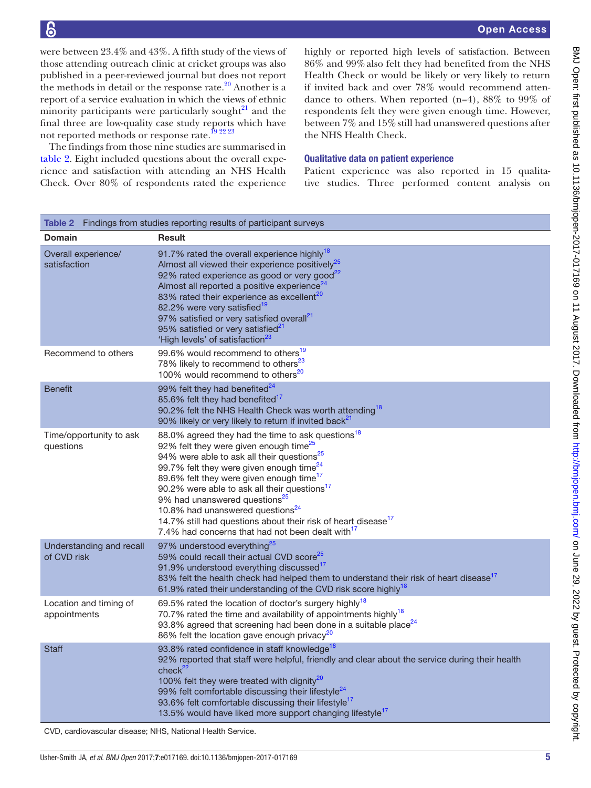were between 23.4% and 43%. A fifth study of the views of those attending outreach clinic at cricket groups was also published in a peer-reviewed journal but does not report the methods in detail or the response rate. $20$  Another is a report of a service evaluation in which the views of ethnic minority participants were particularly sought $^{21}$  and the final three are low-quality case study reports which have not reported methods or response rate.<sup>19 22 23</sup>

The findings from those nine studies are summarised in [table](#page-4-0) 2. Eight included questions about the overall experience and satisfaction with attending an NHS Health Check. Over 80% of respondents rated the experience

highly or reported high levels of satisfaction. Between 86% and 99%also felt they had benefited from the NHS Health Check or would be likely or very likely to return if invited back and over 78% would recommend attendance to others. When reported (n=4), 88% to 99% of respondents felt they were given enough time. However, between 7% and 15%still had unanswered questions after the NHS Health Check.

## Qualitative data on patient experience

Patient experience was also reported in 15 qualitative studies. Three performed content analysis on

<span id="page-4-0"></span>

|                                         | Table 2 Findings from studies reporting results of participant surveys                                                                                                                                                                                                                                                                                                                                                                                                                                                                                                                              |
|-----------------------------------------|-----------------------------------------------------------------------------------------------------------------------------------------------------------------------------------------------------------------------------------------------------------------------------------------------------------------------------------------------------------------------------------------------------------------------------------------------------------------------------------------------------------------------------------------------------------------------------------------------------|
| <b>Domain</b>                           | <b>Result</b>                                                                                                                                                                                                                                                                                                                                                                                                                                                                                                                                                                                       |
| Overall experience/<br>satisfaction     | 91.7% rated the overall experience highly <sup>18</sup><br>Almost all viewed their experience positively <sup>25</sup><br>92% rated experience as good or very good $^{22}$<br>Almost all reported a positive experience <sup>24</sup><br>83% rated their experience as excellent <sup>20</sup><br>82.2% were very satisfied <sup>19</sup><br>97% satisfied or very satisfied overall <sup>21</sup><br>95% satisfied or very satisfied <sup>21</sup><br>'High levels' of satisfaction <sup>23</sup>                                                                                                 |
| Recommend to others                     | 99.6% would recommend to others <sup>19</sup><br>78% likely to recommend to others <sup>23</sup><br>100% would recommend to others <sup>20</sup>                                                                                                                                                                                                                                                                                                                                                                                                                                                    |
| <b>Benefit</b>                          | 99% felt they had benefited <sup>24</sup><br>85.6% felt they had benefited <sup>17</sup><br>90.2% felt the NHS Health Check was worth attending <sup>18</sup><br>90% likely or very likely to return if invited back <sup>21</sup>                                                                                                                                                                                                                                                                                                                                                                  |
| Time/opportunity to ask<br>questions    | 88.0% agreed they had the time to ask questions <sup>18</sup><br>92% felt they were given enough time <sup>25</sup><br>94% were able to ask all their questions <sup>25</sup><br>99.7% felt they were given enough time <sup>24</sup><br>89.6% felt they were given enough time <sup>17</sup><br>90.2% were able to ask all their questions <sup>17</sup><br>9% had unanswered questions <sup>25</sup><br>10.8% had unanswered questions <sup>24</sup><br>14.7% still had questions about their risk of heart disease <sup>17</sup><br>7.4% had concerns that had not been dealt with <sup>17</sup> |
| Understanding and recall<br>of CVD risk | 97% understood everything <sup>25</sup><br>59% could recall their actual CVD score <sup>25</sup><br>91.9% understood everything discussed <sup>17</sup><br>83% felt the health check had helped them to understand their risk of heart disease <sup>17</sup><br>61.9% rated their understanding of the CVD risk score highly <sup>18</sup>                                                                                                                                                                                                                                                          |
| Location and timing of<br>appointments  | 69.5% rated the location of doctor's surgery highly <sup>18</sup><br>70.7% rated the time and availability of appointments highly <sup>18</sup><br>93.8% agreed that screening had been done in a suitable place <sup>24</sup><br>86% felt the location gave enough privacy <sup>20</sup>                                                                                                                                                                                                                                                                                                           |
| <b>Staff</b>                            | 93.8% rated confidence in staff knowledge <sup>18</sup><br>92% reported that staff were helpful, friendly and clear about the service during their health<br>check <sup>22</sup><br>100% felt they were treated with dignity <sup>20</sup><br>99% felt comfortable discussing their lifestyle <sup>24</sup><br>93.6% felt comfortable discussing their lifestyle <sup>17</sup><br>13.5% would have liked more support changing lifestyle <sup>17</sup>                                                                                                                                              |

CVD, cardiovascular disease; NHS, National Health Service.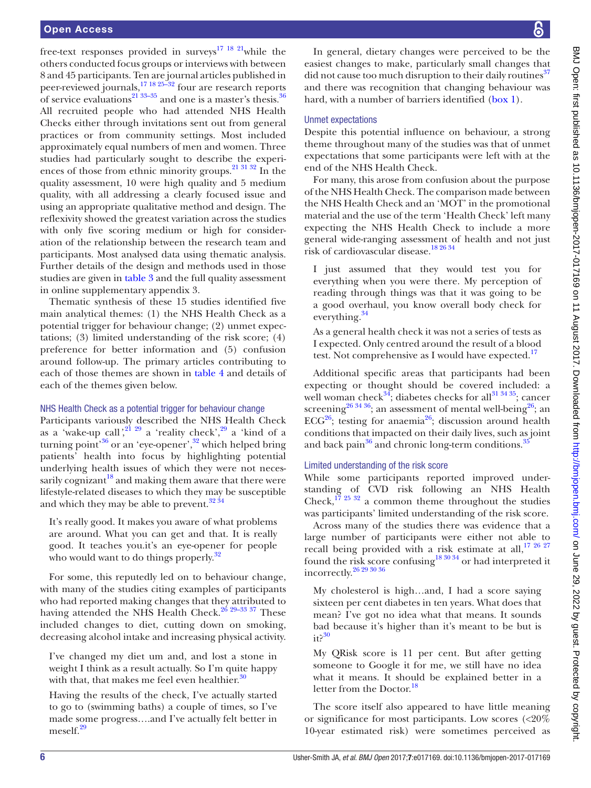free-text responses provided in surveys<sup>17 18 21</sup> while the others conducted focus groups or interviews with between 8 and 45 participants. Ten are journal articles published in peer-reviewed journals, $17^{18}$   $25\frac{32}{18}$  four are research reports of service evaluations<sup>21 33–35</sup> and one is a master's thesis.<sup>36</sup> All recruited people who had attended NHS Health Checks either through invitations sent out from general practices or from community settings. Most included approximately equal numbers of men and women. Three studies had particularly sought to describe the experiences of those from ethnic minority groups.[21 31 32](#page-11-11) In the quality assessment, 10 were high quality and 5 medium quality, with all addressing a clearly focused issue and using an appropriate qualitative method and design. The reflexivity showed the greatest variation across the studies with only five scoring medium or high for consideration of the relationship between the research team and participants. Most analysed data using thematic analysis. Further details of the design and methods used in those studies are given in [table](#page-6-0) 3 and the full quality assessment in online [supplementary appendix 3](https://dx.doi.org/10.1136/bmjopen-2017-017169).

Thematic synthesis of these 15 studies identified five main analytical themes: (1) the NHS Health Check as a potential trigger for behaviour change; (2) unmet expectations; (3) limited understanding of the risk score; (4) preference for better information and (5) confusion around follow-up. The primary articles contributing to each of those themes are shown in [table](#page-8-0) 4 and details of each of the themes given below.

#### NHS Health Check as a potential trigger for behaviour change

Participants variously described the NHS Health Check as a 'wake-up call<sup>',21 29</sup> a 'reality check'<sup>29</sup> a 'kind of a turning point<sup>36</sup> or an 'eye-opener',<sup>32</sup> which helped bring patients' health into focus by highlighting potential underlying health issues of which they were not neces-sarily cognizant<sup>[18](#page-11-6)</sup> and making them aware that there were lifestyle-related diseases to which they may be susceptible and which they may be able to prevent. $3234$ 

It's really good. It makes you aware of what problems are around. What you can get and that. It is really good. It teaches you.it's an eye-opener for people who would want to do things properly.<sup>32</sup>

For some, this reputedly led on to behaviour change, with many of the studies citing examples of participants who had reported making changes that they attributed to having attended the NHS Health Check.<sup>26</sup><sup>29–33</sup><sup>37</sup> These included changes to diet, cutting down on smoking, decreasing alcohol intake and increasing physical activity.

I've changed my diet um and, and lost a stone in weight I think as a result actually. So I'm quite happy with that, that makes me feel even healthier. $30$ 

Having the results of the check, I've actually started to go to (swimming baths) a couple of times, so I've made some progress….and I've actually felt better in meself. $29$ 

In general, dietary changes were perceived to be the easiest changes to make, particularly small changes that did not cause too much disruption to their daily routines<sup>[37](#page-11-20)</sup> and there was recognition that changing behaviour was hard, with a number of barriers identified ([box](#page-8-1) 1).

#### Unmet expectations

Despite this potential influence on behaviour, a strong theme throughout many of the studies was that of unmet expectations that some participants were left with at the end of the NHS Health Check.

For many, this arose from confusion about the purpose of the NHS Health Check. The comparison made between the NHS Health Check and an 'MOT' in the promotional material and the use of the term 'Health Check' left many expecting the NHS Health Check to include a more general wide-ranging assessment of health and not just risk of cardiovascular disease[.18 26 34](#page-11-6)

I just assumed that they would test you for everything when you were there. My perception of reading through things was that it was going to be a good overhaul, you know overall body check for everything. $34$ 

As a general health check it was not a series of tests as I expected. Only centred around the result of a blood test. Not comprehensive as I would have expected.<sup>[17](#page-11-9)</sup>

Additional specific areas that participants had been expecting or thought should be covered included: a well woman check<sup>[34](#page-11-21)</sup>; diabetes checks for all<sup>[31 34 35](#page-11-22)</sup>; cancer screening<sup>[26](#page-11-18) 34 36</sup>; an assessment of mental well-being<sup>26</sup>; an  $ECG^{26}$  $ECG^{26}$  $ECG^{26}$ ; testing for anaemia<sup>26</sup>; discussion around health conditions that impacted on their daily lives, such as joint and back pain $^{36}$  and chronic long-term conditions.<sup>35</sup>

#### Limited understanding of the risk score

While some participants reported improved understanding of CVD risk following an NHS Health Check,<sup>17 25 32</sup> a common theme throughout the studies was participants' limited understanding of the risk score.

Across many of the studies there was evidence that a large number of participants were either not able to recall being provided with a risk estimate at all,<sup>[17 26 27](#page-11-9)</sup> found the risk score confusing<sup>18 30 34</sup> or had interpreted it incorrectly.[26 29 30 36](#page-11-18)

My cholesterol is high…and, I had a score saying sixteen per cent diabetes in ten years. What does that mean? I've got no idea what that means. It sounds bad because it's higher than it's meant to be but is  $\mathrm{it}^{30}$  $\mathrm{it}^{30}$  $\mathrm{it}^{30}$ 

My QRisk score is 11 per cent. But after getting someone to Google it for me, we still have no idea what it means. It should be explained better in a letter from the Doctor.<sup>[18](#page-11-6)</sup>

The score itself also appeared to have little meaning or significance for most participants. Low scores (<20% 10-year estimated risk) were sometimes perceived as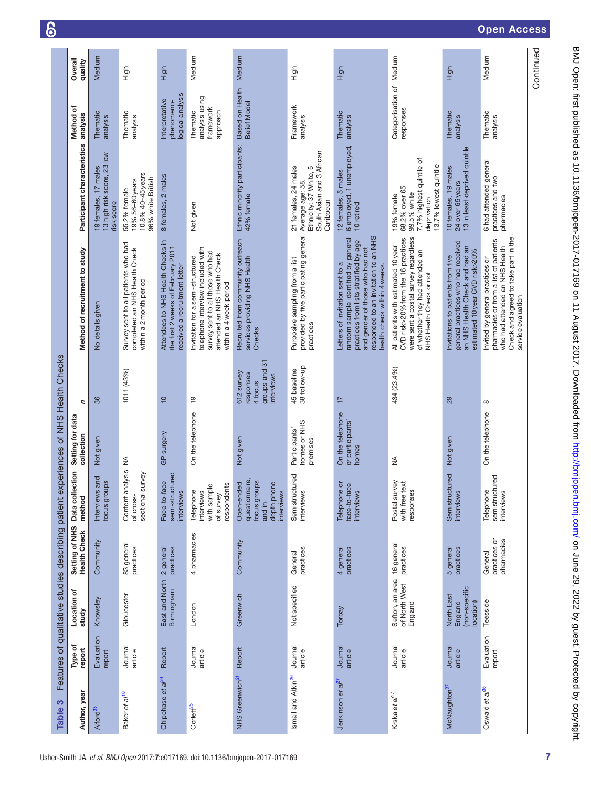| S<br>Table:                    |                      |                                                        | Features of qualitative studies describing patient ex |                                                                                                           | periences of NHS Health Checks                |                                                                   |                                                                                                                                                                                                                             |                                                                                                                |                                                     |                    |
|--------------------------------|----------------------|--------------------------------------------------------|-------------------------------------------------------|-----------------------------------------------------------------------------------------------------------|-----------------------------------------------|-------------------------------------------------------------------|-----------------------------------------------------------------------------------------------------------------------------------------------------------------------------------------------------------------------------|----------------------------------------------------------------------------------------------------------------|-----------------------------------------------------|--------------------|
| Author, year                   | Type of<br>report    | Location of<br>study                                   | Setting of NHS<br>Health Check                        | Data collection<br>method                                                                                 | Setting for data<br>collection                | U                                                                 | Method of recruitment to study                                                                                                                                                                                              | Participant characteristics                                                                                    | Method of<br>analysis                               | Overall<br>quality |
| Alford <sup>33</sup>           | Evaluation<br>report | Knowsley                                               | Community                                             | Interviews and<br>focus groups                                                                            | Not given                                     | 36                                                                | No details given                                                                                                                                                                                                            | 13 high risk score, 23 low<br>19 females, 17 males<br>risk score                                               | Thematic<br>analysis                                | Medium             |
| Baker et al <sup>18</sup>      | Journal<br>article   | Gloucester                                             | 83 general<br>practices                               | Content analysis NA<br>of cross-<br>sectional survey                                                      |                                               | 1011 (43%)                                                        | Survey sent to all patients who had<br>completed an NHS Health Check<br>within a 2 month period                                                                                                                             | 10.8% 40-45 years<br>96% white British<br>19% 56-60 years<br>55.2% female                                      | Thematic<br>analysis                                | High               |
| Chipchase et a <sup>/34</sup>  | Report               | East and North<br>Birmingham                           | 2 general<br>practices                                | semi-structured<br>Face-to-face<br>interviews                                                             | GP surgery                                    | $\overline{C}$                                                    | Attendees to NHS Health Checks in<br>the first 2 weeks of February 2011<br>received a recruitment letter                                                                                                                    | 8 females, 2 males                                                                                             | logical analysis<br>Interpretative<br>phenomeno-    | High               |
| Corlett <sup>25</sup>          | Journal<br>article   | London                                                 | 4 pharmacies                                          | respondents<br>with sample<br>Telephone<br>interviews<br>of survey                                        | On the telephone                              | $\frac{1}{2}$                                                     | telephone interview included with<br>survey sent to all those who had<br>attended an NHS Health Check<br>Invitation for a semi-structured<br>within a 4 week period                                                         | Not given                                                                                                      | analysis using<br>framework<br>approach<br>Thematic | Medium             |
| NHS Greenwich <sup>21</sup>    | Report               | Greenwich                                              | Community                                             | questionnaire,<br>focus groups<br>$\underline{\Phi}$<br>Open-ended<br>depth phon<br>interviews<br>and in- | Not given                                     | groups and 31<br>612 survey<br>responses<br>interviews<br>4 focus | Recruited from community outreach<br>services providing NHS Health<br>Checks                                                                                                                                                | Ethnic minority participants:<br>42% female                                                                    | Based on Health<br>Belief Model                     | Medium             |
| Ismail and Atkin <sup>26</sup> | Journal<br>article   | Not specified                                          | practices<br>General                                  | Semistructured<br>interviews                                                                              | homes or NHS<br>Participants'<br>premises     | 45 baseline<br>38 follow-up                                       | provided by five participating general<br>Purposive sampling from a list<br>practices                                                                                                                                       | South Asian and 3 African<br>21 females, 24 males<br>Ethnicity: 37 White, 5<br>Average age: 58.<br>Caribbean   | Framework<br>analysis                               | High               |
| Jenkinson et al <sup>27</sup>  | Journal<br>article   | Torbay                                                 | 4 general<br>practices                                | Telephone or<br>face-to-face<br>interviews                                                                | On the telephone<br>or participants'<br>homes | $\overline{17}$                                                   | responded to an invitation to an NHS<br>random sample identified by general<br>practices from lists stratified by age<br>and gender of those who had not<br>Letters of invitation sent to a<br>health check within 4 weeks. | 6 employed, 1 unemployed,<br>12 females, 5 males<br>10 retired                                                 | Thematic<br>analysis                                | High               |
| Krska et al <sup>17</sup>      | Journal<br>article   | Sefton, an area 16 general<br>of North West<br>England | practices                                             | Postal survey<br>with free text<br>responses                                                              | ≨                                             | 434 (23.4%)                                                       | were sent a postal survey regardless<br>CVD risk>20% from the 16 practices<br>All patients with estimated 10 year<br>of whether they had attended an<br>NHS Health Check or not                                             | 7.7% highest quintile of<br>13.7% lowest quintile<br>68.2% over 65<br>99.5% white<br>19% female<br>deprivation | Categorisation of Medium<br>responses               |                    |
| McNaughton <sup>37</sup>       | Journal<br>article   | (non-specific<br>North East<br>location)<br>England    | 5 general<br>practices                                | ured<br>Semistruct<br>interviews                                                                          | Not given                                     | 89                                                                | general practices who had received<br>an NHS Health Check and had an<br>estimated 10year CVD risk>20%<br>Invitations to patients from five                                                                                  | 13 in least deprived quintile<br>10 females, 19 males<br>24 over 65years                                       | Thematic<br>analysis                                | High               |
| Oswald et al <sup>35</sup>     | Evaluation<br>report | Teesside                                               | practices or<br>pharmacies<br>General                 | pel<br>semistructu<br>interviews<br>Telephone                                                             | On the telephone                              | $\infty$                                                          | Check and agreed to take part in the<br>pharmacies or from a list of patients<br>who had attended an NHS Health<br>Invited by general practices or<br>service evaluation                                                    | 6 had attended general<br>practices and two<br>pharmacies                                                      | Thematic<br>analysis                                | Medium             |
|                                |                      |                                                        |                                                       |                                                                                                           |                                               |                                                                   |                                                                                                                                                                                                                             |                                                                                                                |                                                     | Continued          |

 $\delta$ 

BMJ Open: first published as 10.1136/bnjopen-2017-017169 on 11 August 2017. Downloaded from http://bmjopen.bmj.com/ on June 29, 2022 by guest. Protected by copyright. BMJ Open: first published as 10.1136/bmjopen-2017-017169 on 11 August 2017. Downloaded from <http://bmjopen.bmj.com/> on June 29, 2022 by guest. Protected by copyright.

<span id="page-6-0"></span>7

Open Access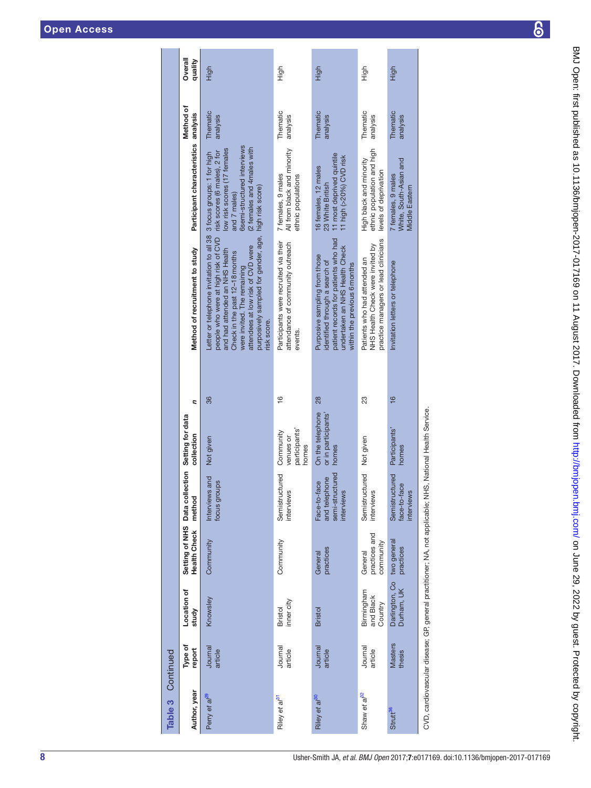BMJ Open: first published as 10.1136/bmjopen-2017-017169 on 11 August 2017. Downloaded from <http://bmjopen.bmj.com/> on June 29, 2022 by guest. Protected by copyright.

BMJ Open: first published as 10.1136/bnjopen-2017-017169 on 11 August 2017. Downloaded from http://bmjopen.bmj.com/ on June 29, 2022 by guest. Protected by copyright.

| Table 3                   | Continued                |                                    |                                       |                                                                |                                                                                                          |               |                                                                                                                                                                                                                                                                                                                            |                                                                                                                                          |                             |                    |
|---------------------------|--------------------------|------------------------------------|---------------------------------------|----------------------------------------------------------------|----------------------------------------------------------------------------------------------------------|---------------|----------------------------------------------------------------------------------------------------------------------------------------------------------------------------------------------------------------------------------------------------------------------------------------------------------------------------|------------------------------------------------------------------------------------------------------------------------------------------|-----------------------------|--------------------|
| Author, year              | Type of<br>report        | Location of<br>study               | Health Check                          | Setting of NHS Data collection Setting for data<br>method      | collection                                                                                               | c             | Method of recruitment to study                                                                                                                                                                                                                                                                                             | Participant characteristics analysis                                                                                                     | Method of                   | Overall<br>quality |
| Perry et al <sup>29</sup> | Journal<br>article       | Knowsley                           | Community                             | Interviews and<br>focus groups                                 | Not given                                                                                                | 36            | Letter or telephone invitation to all 38 3 focus groups: 1 for high<br>purposively sampled for gender, age, high risk score)<br>people who were at high risk of CVD<br>attendees at low risk of CVD were<br>and had attended an NHS Health<br>Check in the past 12-18 months<br>were invited. The remaining<br>risk score. | 6semi-structured interviews<br>(2 females and 4males with<br>low risk scores (17 females<br>risk scores (6 males), 2 for<br>and 7 males) | Thematic<br>analysis        | High               |
| Riley et al <sup>31</sup> | Journal<br>article       | inner city<br><b>Bristol</b>       | Community                             | Semistructured<br>interviews                                   | participants'<br>Community<br>venues or<br>homes                                                         | $\frac{6}{5}$ | Participants were recruited via their<br>attendance of community outreach<br>events.                                                                                                                                                                                                                                       | All from black and minority<br>7 females, 9 males<br>ethnic populations                                                                  | Thematic<br>analysis        | High               |
| Riley et al <sup>30</sup> | Journal<br>article       | <b>Bristol</b>                     | practices<br>General                  | semi-structured<br>and telephone<br>Face-to-face<br>interviews | On the telephone<br>or in participants<br>homes                                                          | 28            | patient records for patients who had<br>undertaken an NHS Health Check<br>Purposive sampling from those<br>identified through a search of<br>within the previous 6 months                                                                                                                                                  | 11 most deprived quintile<br>11 high (>20%) CVD risk<br>16 females, 12 males<br>23 White British                                         | Thematic<br>analysis        | High               |
| Shaw et al <sup>32</sup>  | Journal<br>article       | Birmingham<br>and Black<br>Country | practices and<br>community<br>General | Semistructured<br>interviews                                   | Not given                                                                                                | 23            | practice managers or lead clinicians<br>NHS Health Check were invited by<br>Patients who had attended an                                                                                                                                                                                                                   | ethnic population and high<br>High black and minority<br>levels of deprivation                                                           | Thematic<br>analysis        | ら<br>王             |
| Strutt <sup>36</sup>      | <b>Masters</b><br>thesis | Darlington, Co<br>Durham, UK       | two general<br>practices              | Semistructured<br>face-to-face<br>nterviews                    | Participants'<br>homes                                                                                   | $\frac{6}{5}$ | Invitation letters or telephone                                                                                                                                                                                                                                                                                            | White, South-Asian and<br>7 females, 9 males<br><b>Middle Eastern</b>                                                                    | <b>Thematic</b><br>analysis | High               |
|                           |                          |                                    |                                       |                                                                | CVD, cardiovascular disease; GP, general practitioner; NA, not applicable; NHS, National Health Service. |               |                                                                                                                                                                                                                                                                                                                            |                                                                                                                                          |                             |                    |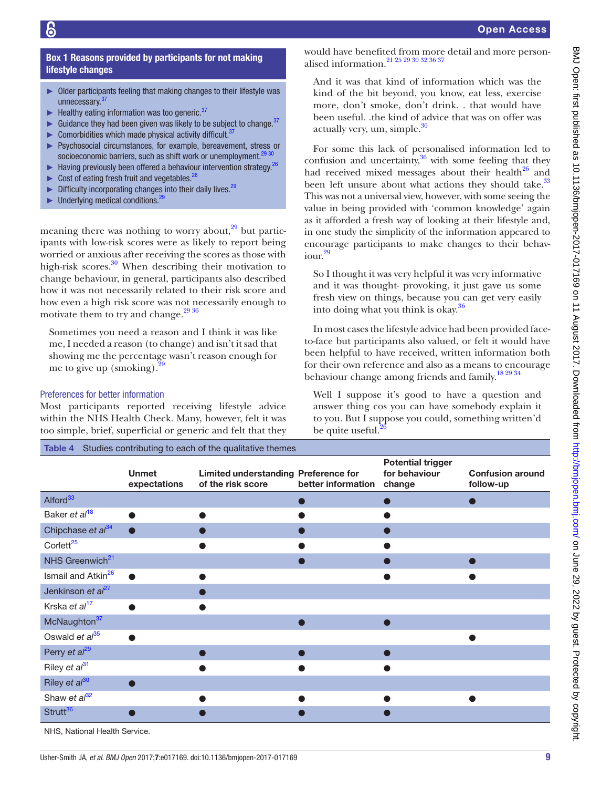# Box 1 Reasons provided by participants for not making lifestyle changes

- <span id="page-8-1"></span> $\triangleright$  Older participants feeling that making changes to their lifestyle was unnecessary.<sup>[37](#page-11-20)</sup>
- $\blacktriangleright$  Healthy eating information was too generic.<sup>37</sup>
- ► Guidance they had been given was likely to be subject to change.  $37$
- $\triangleright$  Comorbidities which made physical activity difficult.<sup>[37](#page-11-20)</sup>
- ► Psychosocial circumstances, for example, bereavement, stress or socioeconomic barriers, such as shift work or unemployment.<sup>29 3</sup>
- $\blacktriangleright$  Having previously been offered a behaviour intervention strategy.<sup>26</sup>
- $\triangleright$  Cost of eating fresh fruit and vegetables.<sup>2</sup>
- $\blacktriangleright$  Difficulty incorporating changes into their daily lives.<sup>29</sup>
- Underlying medical conditions.<sup>2</sup>

meaning there was nothing to worry about, $29$  but participants with low-risk scores were as likely to report being worried or anxious after receiving the scores as those with high-risk scores.<sup>30</sup> When describing their motivation to change behaviour, in general, participants also described how it was not necessarily related to their risk score and how even a high risk score was not necessarily enough to motivate them to try and change. $2936$ 

Sometimes you need a reason and I think it was like me, I needed a reason (to change) and isn't it sad that showing me the percentage wasn't reason enough for me to give up (smoking). $\frac{3}{2}$ 

# Preferences for better information

Most participants reported receiving lifestyle advice within the NHS Health Check. Many, however, felt it was too simple, brief, superficial or generic and felt that they would have benefited from more detail and more personalised information[.21 25 29 30 32 36 37](#page-11-11)

And it was that kind of information which was the kind of the bit beyond, you know, eat less, exercise more, don't smoke, don't drink. . that would have been useful. .the kind of advice that was on offer was actually very, um, simple. $30$ 

For some this lack of personalised information led to confusion and uncertainty, $36$  with some feeling that they had received mixed messages about their health $^{26}$  $^{26}$  $^{26}$  and been left unsure about what actions they should take.<sup>33</sup> This was not a universal view, however, with some seeing the value in being provided with 'common knowledge' again as it afforded a fresh way of looking at their lifestyle and, in one study the simplicity of the information appeared to encourage participants to make changes to their behaviour[.29](#page-11-16)

So I thought it was very helpful it was very informative and it was thought- provoking, it just gave us some fresh view on things, because you can get very easily into doing what you think is okay.[36](#page-11-15)

In most cases the lifestyle advice had been provided faceto-face but participants also valued, or felt it would have been helpful to have received, written information both for their own reference and also as a means to encourage behaviour change among friends and family.<sup>[18 29 34](#page-11-6)</sup>

Well I suppose it's good to have a question and answer thing cos you can have somebody explain it to you. But I suppose you could, something written'd be quite useful.

<span id="page-8-0"></span>

| Table 4                        |                              | Studies contributing to each of the qualitative themes    |                    |                                                     |                                      |
|--------------------------------|------------------------------|-----------------------------------------------------------|--------------------|-----------------------------------------------------|--------------------------------------|
|                                | <b>Unmet</b><br>expectations | Limited understanding Preference for<br>of the risk score | better information | <b>Potential trigger</b><br>for behaviour<br>change | <b>Confusion around</b><br>follow-up |
| Alford <sup>33</sup>           |                              |                                                           |                    |                                                     |                                      |
| Baker et al <sup>18</sup>      |                              |                                                           |                    |                                                     |                                      |
| Chipchase et $al^{34}$         |                              |                                                           |                    |                                                     |                                      |
| Corlett <sup>25</sup>          |                              |                                                           |                    |                                                     |                                      |
| NHS Greenwich <sup>21</sup>    |                              |                                                           |                    |                                                     |                                      |
| Ismail and Atkin <sup>26</sup> |                              |                                                           |                    |                                                     |                                      |
| Jenkinson et al <sup>27</sup>  |                              |                                                           |                    |                                                     |                                      |
| Krska et al <sup>17</sup>      |                              |                                                           |                    |                                                     |                                      |
| McNaughton <sup>37</sup>       |                              |                                                           |                    |                                                     |                                      |
| Oswald $et al^{35}$            |                              |                                                           |                    |                                                     |                                      |
| Perry et al <sup>29</sup>      |                              |                                                           |                    |                                                     |                                      |
| Riley et al <sup>31</sup>      |                              |                                                           |                    |                                                     |                                      |
| Riley et al <sup>30</sup>      |                              |                                                           |                    |                                                     |                                      |
| Shaw et al <sup>32</sup>       |                              |                                                           |                    |                                                     |                                      |
| Strutt <sup>36</sup>           |                              |                                                           |                    |                                                     |                                      |

NHS, National Health Service.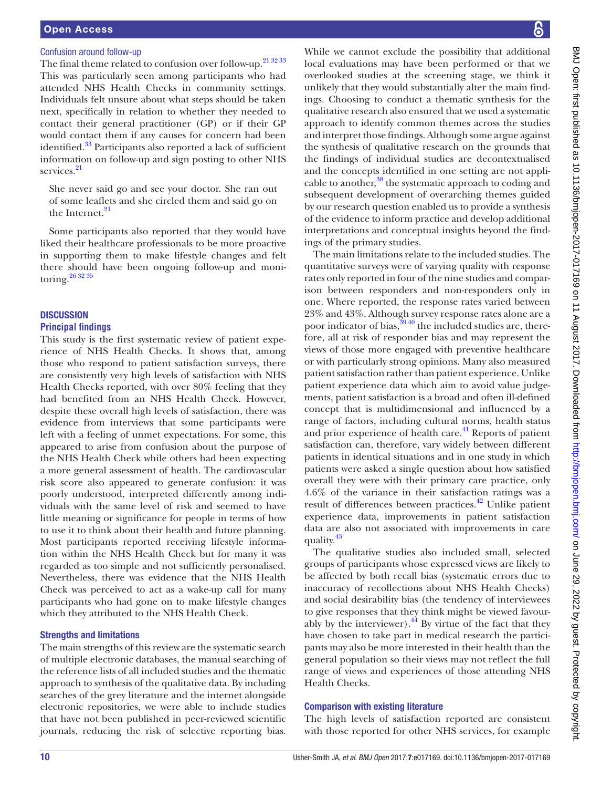# Open Access

#### Confusion around follow-up

The final theme related to confusion over follow-up.<sup>[21 32 33](#page-11-11)</sup> This was particularly seen among participants who had attended NHS Health Checks in community settings. Individuals felt unsure about what steps should be taken next, specifically in relation to whether they needed to contact their general practitioner (GP) or if their GP would contact them if any causes for concern had been identified.<sup>[33](#page-11-24)</sup> Participants also reported a lack of sufficient information on follow-up and sign posting to other NHS services.<sup>21</sup>

She never said go and see your doctor. She ran out of some leaflets and she circled them and said go on the Internet. $21$ 

Some participants also reported that they would have liked their healthcare professionals to be more proactive in supporting them to make lifestyle changes and felt there should have been ongoing follow-up and monitoring.[26 32 35](#page-11-18)

## **DISCUSSION Principal findings**

This study is the first systematic review of patient experience of NHS Health Checks. It shows that, among those who respond to patient satisfaction surveys, there are consistently very high levels of satisfaction with NHS Health Checks reported, with over 80% feeling that they had benefited from an NHS Health Check. However, despite these overall high levels of satisfaction, there was evidence from interviews that some participants were left with a feeling of unmet expectations. For some, this appeared to arise from confusion about the purpose of the NHS Health Check while others had been expecting a more general assessment of health. The cardiovascular risk score also appeared to generate confusion: it was poorly understood, interpreted differently among individuals with the same level of risk and seemed to have little meaning or significance for people in terms of how to use it to think about their health and future planning. Most participants reported receiving lifestyle information within the NHS Health Check but for many it was regarded as too simple and not sufficiently personalised. Nevertheless, there was evidence that the NHS Health Check was perceived to act as a wake-up call for many participants who had gone on to make lifestyle changes which they attributed to the NHS Health Check.

# Strengths and limitations

The main strengths of this review are the systematic search of multiple electronic databases, the manual searching of the reference lists of all included studies and the thematic approach to synthesis of the qualitative data. By including searches of the grey literature and the internet alongside electronic repositories, we were able to include studies that have not been published in peer-reviewed scientific journals, reducing the risk of selective reporting bias.

While we cannot exclude the possibility that additional local evaluations may have been performed or that we overlooked studies at the screening stage, we think it unlikely that they would substantially alter the main findings. Choosing to conduct a thematic synthesis for the qualitative research also ensured that we used a systematic approach to identify common themes across the studies and interpret those findings. Although some argue against the synthesis of qualitative research on the grounds that the findings of individual studies are decontextualised and the concepts identified in one setting are not applicable to another,<sup>38</sup> the systematic approach to coding and subsequent development of overarching themes guided by our research question enabled us to provide a synthesis of the evidence to inform practice and develop additional interpretations and conceptual insights beyond the findings of the primary studies.

The main limitations relate to the included studies. The quantitative surveys were of varying quality with response rates only reported in four of the nine studies and comparison between responders and non-responders only in one. Where reported, the response rates varied between 23% and 43%. Although survey response rates alone are a poor indicator of bias,  $3940$  the included studies are, therefore, all at risk of responder bias and may represent the views of those more engaged with preventive healthcare or with particularly strong opinions. Many also measured patient satisfaction rather than patient experience. Unlike patient experience data which aim to avoid value judgements, patient satisfaction is a broad and often ill-defined concept that is multidimensional and influenced by a range of factors, including cultural norms, health status and prior experience of health care. $^{41}$  Reports of patient satisfaction can, therefore, vary widely between different patients in identical situations and in one study in which patients were asked a single question about how satisfied overall they were with their primary care practice, only 4.6% of the variance in their satisfaction ratings was a result of differences between practices.<sup>42</sup> Unlike patient experience data, improvements in patient satisfaction data are also not associated with improvements in care quality.<sup>[43](#page-11-30)</sup>

The qualitative studies also included small, selected groups of participants whose expressed views are likely to be affected by both recall bias (systematic errors due to inaccuracy of recollections about NHS Health Checks) and social desirability bias (the tendency of interviewees to give responses that they think might be viewed favourably by the interviewer). $^{44}$  By virtue of the fact that they have chosen to take part in medical research the participants may also be more interested in their health than the general population so their views may not reflect the full range of views and experiences of those attending NHS Health Checks.

# Comparison with existing literature

The high levels of satisfaction reported are consistent with those reported for other NHS services, for example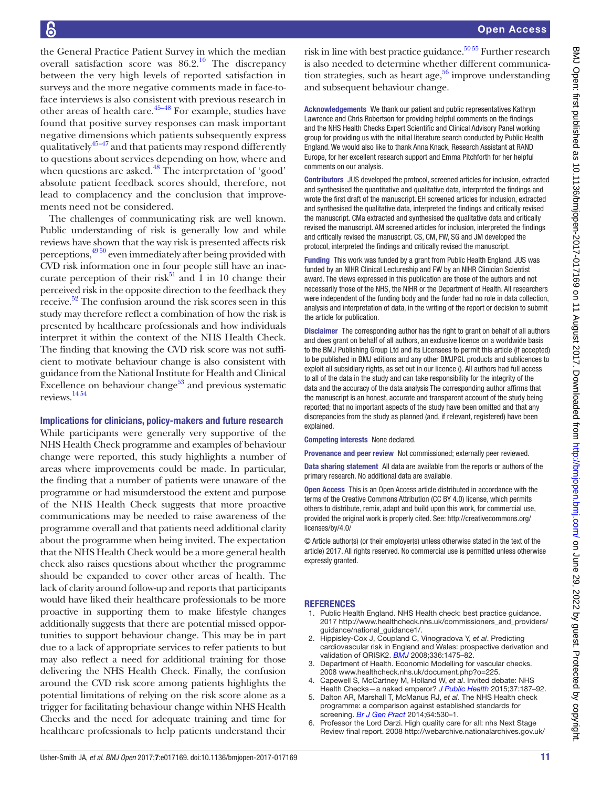the General Practice Patient Survey in which the median overall satisfaction score was  $86.2<sup>10</sup>$  $86.2<sup>10</sup>$  $86.2<sup>10</sup>$  The discrepancy between the very high levels of reported satisfaction in surveys and the more negative comments made in face-toface interviews is also consistent with previous research in other areas of health care.<sup>[45–48](#page-11-33)</sup> For example, studies have found that positive survey responses can mask important negative dimensions which patients subsequently express qualitatively $45-47$  and that patients may respond differently to questions about services depending on how, where and when questions are asked. $48$  The interpretation of 'good' absolute patient feedback scores should, therefore, not lead to complacency and the conclusion that improvements need not be considered.

The challenges of communicating risk are well known. Public understanding of risk is generally low and while reviews have shown that the way risk is presented affects risk perceptions,<sup>4950</sup> even immediately after being provided with CVD risk information one in four people still have an inaccurate perception of their risk $^{51}$  and 1 in 10 change their perceived risk in the opposite direction to the feedback they receive.<sup>52</sup> The confusion around the risk scores seen in this study may therefore reflect a combination of how the risk is presented by healthcare professionals and how individuals interpret it within the context of the NHS Health Check. The finding that knowing the CVD risk score was not sufficient to motivate behaviour change is also consistent with guidance from the National Institute for Health and Clinical Excellence on behaviour change<sup>53</sup> and previous systematic reviews.[14 54](#page-11-4)

#### Implications for clinicians, policy-makers and future research

While participants were generally very supportive of the NHS Health Check programme and examples of behaviour change were reported, this study highlights a number of areas where improvements could be made. In particular, the finding that a number of patients were unaware of the programme or had misunderstood the extent and purpose of the NHS Health Check suggests that more proactive communications may be needed to raise awareness of the programme overall and that patients need additional clarity about the programme when being invited. The expectation that the NHS Health Check would be a more general health check also raises questions about whether the programme should be expanded to cover other areas of health. The lack of clarity around follow-up and reports that participants would have liked their healthcare professionals to be more proactive in supporting them to make lifestyle changes additionally suggests that there are potential missed opportunities to support behaviour change. This may be in part due to a lack of appropriate services to refer patients to but may also reflect a need for additional training for those delivering the NHS Health Check. Finally, the confusion around the CVD risk score among patients highlights the potential limitations of relying on the risk score alone as a trigger for facilitating behaviour change within NHS Health Checks and the need for adequate training and time for healthcare professionals to help patients understand their

risk in line with best practice guidance.<sup>50 55</sup> Further research is also needed to determine whether different communication strategies, such as heart age,  $56$  improve understanding and subsequent behaviour change.

Acknowledgements We thank our patient and public representatives Kathryn Lawrence and Chris Robertson for providing helpful comments on the findings and the NHS Health Checks Expert Scientific and Clinical Advisory Panel working group for providing us with the initial literature search conducted by Public Health England. We would also like to thank Anna Knack, Research Assistant at RAND Europe, for her excellent research support and Emma Pitchforth for her helpful comments on our analysis.

Contributors JUS developed the protocol, screened articles for inclusion, extracted and synthesised the quantitative and qualitative data, interpreted the findings and wrote the first draft of the manuscript. EH screened articles for inclusion, extracted and synthesised the qualitative data, interpreted the findings and critically revised the manuscript. CMa extracted and synthesised the qualitative data and critically revised the manuscript. AM screened articles for inclusion, interpreted the findings and critically revised the manuscript. CS, CM, FW, SG and JM developed the protocol, interpreted the findings and critically revised the manuscript.

Funding This work was funded by a grant from Public Health England. JUS was funded by an NIHR Clinical Lectureship and FW by an NIHR Clinician Scientist award. The views expressed in this publication are those of the authors and not necessarily those of the NHS, the NIHR or the Department of Health. All researchers were independent of the funding body and the funder had no role in data collection, analysis and interpretation of data, in the writing of the report or decision to submit the article for publication.

Disclaimer The corresponding author has the right to grant on behalf of all authors and does grant on behalf of all authors, an exclusive licence on a worldwide basis to the BMJ Publishing Group Ltd and its Licensees to permit this article (if accepted) to be published in BMJ editions and any other BMJPGL products and sublicences to exploit all subsidiary rights, as set out in our licence (). All authors had full access to all of the data in the study and can take responsibility for the integrity of the data and the accuracy of the data analysis The corresponding author affirms that the manuscript is an honest, accurate and transparent account of the study being reported; that no important aspects of the study have been omitted and that any discrepancies from the study as planned (and, if relevant, registered) have been explained.

Competing interests None declared.

Provenance and peer review Not commissioned; externally peer reviewed.

Data sharing statement All data are available from the reports or authors of the primary research. No additional data are available.

Open Access This is an Open Access article distributed in accordance with the terms of the Creative Commons Attribution (CC BY 4.0) license, which permits others to distribute, remix, adapt and build upon this work, for commercial use, provided the original work is properly cited. See: [http://creativecommons.org/](http://creativecommons.org/licenses/by/4.0/) [licenses/by/4.0/](http://creativecommons.org/licenses/by/4.0/)

© Article author(s) (or their employer(s) unless otherwise stated in the text of the article) 2017. All rights reserved. No commercial use is permitted unless otherwise expressly granted.

# **REFERENCES**

- <span id="page-10-0"></span>1. Public Health England. NHS Health check: best practice guidance. 2017 [http://www.healthcheck.nhs.uk/commissioners\\_and\\_providers/](http://www.healthcheck.nhs.uk/commissioners_and_providers/guidance/national_guidance1/) [guidance/national\\_guidance1/.](http://www.healthcheck.nhs.uk/commissioners_and_providers/guidance/national_guidance1/)
- <span id="page-10-1"></span>2. Hippisley-Cox J, Coupland C, Vinogradova Y, *et al*. Predicting cardiovascular risk in England and Wales: prospective derivation and validation of QRISK2. *[BMJ](http://dx.doi.org/10.1136/bmj.39609.449676.25)* 2008;336:1475–82.
- <span id="page-10-2"></span>3. Department of Health. Economic Modelling for vascular checks. 2008 <www.healthcheck.nhs.uk/document.php?o=225>.
- <span id="page-10-3"></span>4. Capewell S, McCartney M, Holland W, *et al*. Invited debate: NHS Health Checks—a naked emperor? *[J Public Health](http://dx.doi.org/10.1093/pubmed/fdv063)* 2015;37:187–92.
- 5. Dalton AR, Marshall T, McManus RJ, *et al*. The NHS Health check programme: a comparison against established standards for screening. *[Br J Gen Pract](http://dx.doi.org/10.3399/bjgp14X681997)* 2014;64:530–1.
- <span id="page-10-4"></span>6. Professor the Lord Darzi. High quality care for all: nhs Next Stage Review final report. 2008 [http://webarchive.nationalarchives.gov.uk/](http://webarchive.nationalarchives.gov.uk/20130107105354/http:/www.dh.gov.uk/en/Publicationsandstatistics/Publications/PublicationsPolicyAndGuidance/DH_085825)